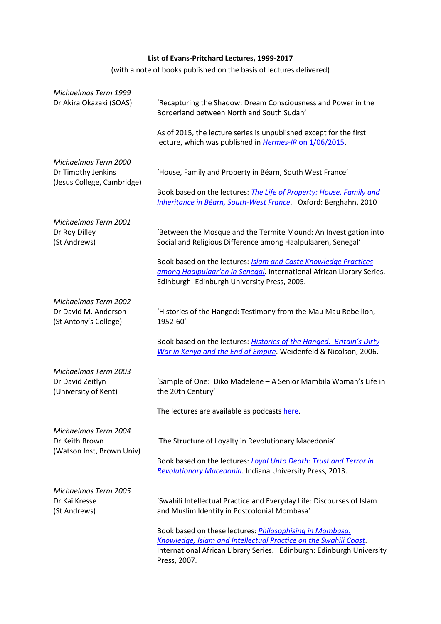## **List of Evans-Pritchard Lectures, 1999-2017**

(with a note of books published on the basis of lectures delivered)

| Michaelmas Term 1999<br>Dr Akira Okazaki (SOAS)                     | 'Recapturing the Shadow: Dream Consciousness and Power in the<br>Borderland between North and South Sudan'                                                                                                                   |
|---------------------------------------------------------------------|------------------------------------------------------------------------------------------------------------------------------------------------------------------------------------------------------------------------------|
|                                                                     | As of 2015, the lecture series is unpublished except for the first<br>lecture, which was published in Hermes-IR on 1/06/2015.                                                                                                |
| Michaelmas Term 2000                                                |                                                                                                                                                                                                                              |
| Dr Timothy Jenkins<br>(Jesus College, Cambridge)                    | 'House, Family and Property in Béarn, South West France'                                                                                                                                                                     |
|                                                                     | Book based on the lectures: <i>The Life of Property: House, Family and</i><br>Inheritance in Béarn, South-West France. Oxford: Berghahn, 2010                                                                                |
| Michaelmas Term 2001                                                |                                                                                                                                                                                                                              |
| Dr Roy Dilley<br>(St Andrews)                                       | 'Between the Mosque and the Termite Mound: An Investigation into<br>Social and Religious Difference among Haalpulaaren, Senegal'                                                                                             |
|                                                                     | Book based on the lectures: <b>Islam and Caste Knowledge Practices</b><br>among Haalpulaar'en in Senegal. International African Library Series.                                                                              |
|                                                                     | Edinburgh: Edinburgh University Press, 2005.                                                                                                                                                                                 |
| <b>Michaelmas Term 2002</b>                                         |                                                                                                                                                                                                                              |
| Dr David M. Anderson<br>(St Antony's College)                       | 'Histories of the Hanged: Testimony from the Mau Mau Rebellion,<br>1952-60'                                                                                                                                                  |
|                                                                     | Book based on the lectures: Histories of the Hanged: Britain's Dirty<br>War in Kenya and the End of Empire. Weidenfeld & Nicolson, 2006.                                                                                     |
| Michaelmas Term 2003<br>Dr David Zeitlyn                            | 'Sample of One: Diko Madelene - A Senior Mambila Woman's Life in<br>the 20th Century'                                                                                                                                        |
| (University of Kent)                                                |                                                                                                                                                                                                                              |
|                                                                     | The lectures are available as podcasts here.                                                                                                                                                                                 |
| Michaelmas Term 2004<br>Dr Keith Brown<br>(Watson Inst, Brown Univ) | 'The Structure of Loyalty in Revolutionary Macedonia'                                                                                                                                                                        |
|                                                                     | Book based on the lectures: <b>Loyal Unto Death: Trust and Terror in</b><br>Revolutionary Macedonia. Indiana University Press, 2013.                                                                                         |
| Michaelmas Term 2005                                                |                                                                                                                                                                                                                              |
| Dr Kai Kresse<br>(St Andrews)                                       | 'Swahili Intellectual Practice and Everyday Life: Discourses of Islam<br>and Muslim Identity in Postcolonial Mombasa'                                                                                                        |
|                                                                     | Book based on these lectures: <i>Philosophising in Mombasa:</i><br>Knowledge, Islam and Intellectual Practice on the Swahili Coast.<br>International African Library Series. Edinburgh: Edinburgh University<br>Press, 2007. |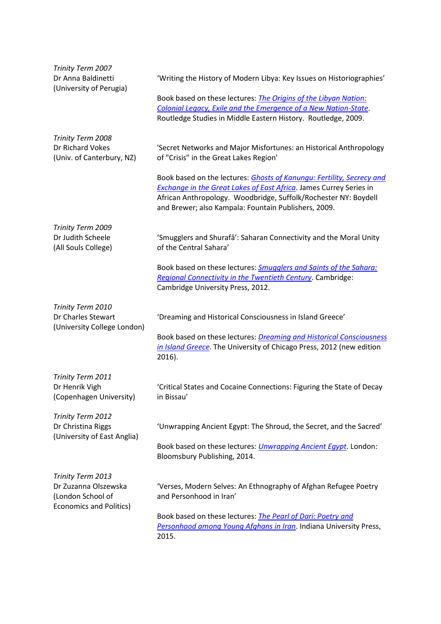| Trinity Term 2007<br>Dr Anna Baldinetti<br>(University of Perugia)     | 'Writing the History of Modern Libya: Key Issues on Historiographies'                                                                                                                                                                                                         |
|------------------------------------------------------------------------|-------------------------------------------------------------------------------------------------------------------------------------------------------------------------------------------------------------------------------------------------------------------------------|
|                                                                        | Book based on these lectures: <i>The Origins of the Libyan Nation:</i><br>Colonial Legacy, Exile and the Emergence of a New Nation-State.<br>Routledge Studies in Middle Eastern History. Routledge, 2009.                                                                    |
| Trinity Term 2008<br>Dr Richard Vokes<br>(Univ. of Canterbury, NZ)     | 'Secret Networks and Major Misfortunes: an Historical Anthropology<br>of "Crisis" in the Great Lakes Region'                                                                                                                                                                  |
|                                                                        | Book based on the lectures: Ghosts of Kanungu: Fertility, Secrecy and<br><b>Exchange in the Great Lakes of East Africa. James Currey Series in</b><br>African Anthropology. Woodbridge, Suffolk/Rochester NY: Boydell<br>and Brewer; also Kampala: Fountain Publishers, 2009. |
| Trinity Term 2009<br>Dr Judith Scheele<br>(All Souls College)          | 'Smugglers and Shurafâ': Saharan Connectivity and the Moral Unity<br>of the Central Sahara'                                                                                                                                                                                   |
|                                                                        | Book based on these lectures: <b>Smugglers and Saints of the Sahara:</b><br>Regional Connectivity in the Twentieth Century. Cambridge:<br>Cambridge University Press, 2012.                                                                                                   |
| Trinity Term 2010<br>Dr Charles Stewart<br>(University College London) | 'Dreaming and Historical Consciousness in Island Greece'<br>Book based on these lectures: <i>Dreaming and Historical Consciousness</i><br>in Island Greece. The University of Chicago Press, 2012 (new edition<br>2016).                                                      |
| Trinity Term 2011<br>Dr Henrik Vigh<br>(Copenhagen University)         | 'Critical States and Cocaine Connections: Figuring the State of Decay<br>in Bissau'                                                                                                                                                                                           |
| Trinity Term 2012<br>Dr Christina Riggs<br>(University of East Anglia) | 'Unwrapping Ancient Egypt: The Shroud, the Secret, and the Sacred'<br>Book based on these lectures: <i>Unwrapping Ancient Eqypt</i> . London:<br>Bloomsbury Publishing, 2014.                                                                                                 |
| Trinity Term 2013<br>Dr Zuzanna Olszewska<br>(London School of         | 'Verses, Modern Selves: An Ethnography of Afghan Refugee Poetry<br>and Personhood in Iran'                                                                                                                                                                                    |
| <b>Economics and Politics)</b>                                         | Book based on these lectures: The Pearl of Dari: Poetry and<br>Personhood among Young Afghans in Iran. Indiana University Press,<br>2015.                                                                                                                                     |